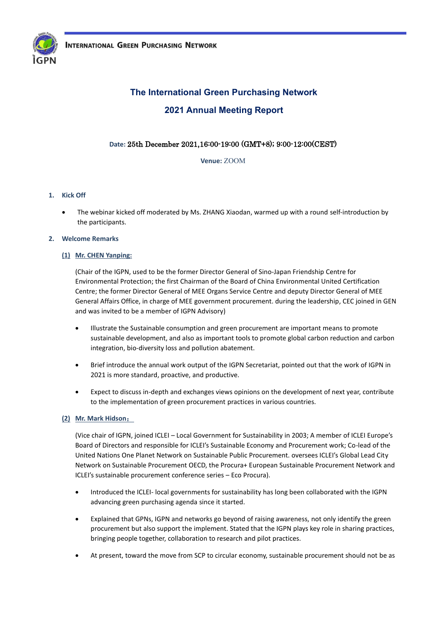

# **The International Green Purchasing Network 2021 Annual Meeting Report**

# **Date:** 25th December 2021,16:00-19:00 (GMT+8); 9:00-12:00(CEST)

**Venue:** ZOOM

# **1. Kick Off**

• The webinar kicked off moderated by Ms. ZHANG Xiaodan, warmed up with a round self-introduction by the participants.

### **2. Welcome Remarks**

# **(1) Mr. CHEN Yanping:**

(Chair of the IGPN, used to be the former Director General of Sino-Japan Friendship Centre for Environmental Protection; the first Chairman of the Board of China Environmental United Certification Centre; the former Director General of MEE Organs Service Centre and deputy Director General of MEE General Affairs Office, in charge of MEE government procurement. during the leadership, CEC joined in GEN and was invited to be a member of IGPN Advisory)

- Illustrate the Sustainable consumption and green procurement are important means to promote sustainable development, and also as important tools to promote global carbon reduction and carbon integration, bio-diversity loss and pollution abatement.
- Brief introduce the annual work output of the IGPN Secretariat, pointed out that the work of IGPN in 2021 is more standard, proactive, and productive.
- Expect to discuss in-depth and exchanges views opinions on the development of next year, contribute to the implementation of green procurement practices in various countries.

### **(2) Mr. Mark Hidson**:

(Vice chair of IGPN, joined ICLEI – Local Government for Sustainability in 2003; A member of ICLEI Europe's Board of Directors and responsible for ICLEI's Sustainable Economy and Procurement work; Co-lead of the United Nations One Planet Network on Sustainable Public Procurement. oversees ICLEI's Global Lead City Network on Sustainable Procurement OECD, the Procura+ European Sustainable Procurement Network and ICLEI's sustainable procurement conference series – Eco Procura).

- Introduced the ICLEI- local governments for sustainability has long been collaborated with the IGPN advancing green purchasing agenda since it started.
- Explained that GPNs, IGPN and networks go beyond of raising awareness, not only identify the green procurement but also support the implement. Stated that the IGPN plays key role in sharing practices, bringing people together, collaboration to research and pilot practices.
- At present, toward the move from SCP to circular economy, sustainable procurement should not be as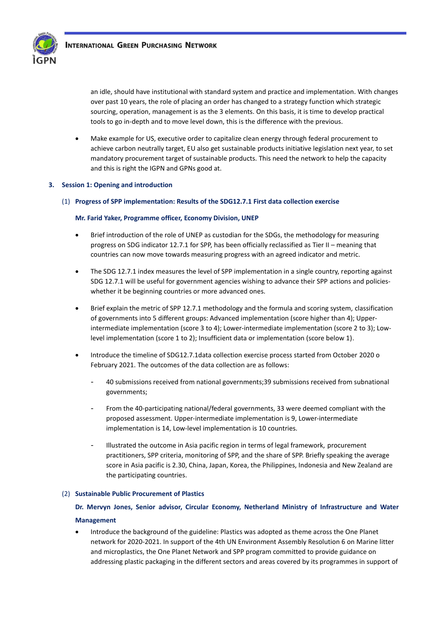

an idle, should have institutional with standard system and practice and implementation. With changes over past 10 years, the role of placing an order has changed to a strategy function which strategic sourcing, operation, management is as the 3 elements. On this basis, it is time to develop practical tools to go in-depth and to move level down, this is the difference with the previous.

• Make example for US, executive order to capitalize clean energy through federal procurement to achieve carbon neutrally target, EU also get sustainable products initiative legislation next year, to set mandatory procurement target of sustainable products. This need the network to help the capacity and this is right the IGPN and GPNs good at.

# **3. Session 1: Opening and introduction**

(1) **Progress of SPP implementation: Results of the SDG12.7.1 First data collection exercise** 

### **Mr. Farid Yaker, Programme officer, Economy Division, UNEP**

- Brief introduction of the role of UNEP as custodian for the SDGs, the methodology for measuring progress on SDG indicator 12.7.1 for SPP, has been officially reclassified as Tier II – meaning that countries can now move towards measuring progress with an agreed indicator and metric.
- The SDG 12.7.1 index measures the level of SPP implementation in a single country, reporting against SDG 12.7.1 will be useful for government agencies wishing to advance their SPP actions and policieswhether it be beginning countries or more advanced ones.
- Brief explain the metric of SPP 12.7.1 methodology and the formula and scoring system, classification of governments into 5 different groups: Advanced implementation (score higher than 4); Upperintermediate implementation (score 3 to 4); Lower-intermediate implementation (score 2 to 3); Lowlevel implementation (score 1 to 2); Insufficient data or implementation (score below 1).
- Introduce the timeline of SDG12.7.1data collection exercise process started from October 2020 o February 2021. The outcomes of the data collection are as follows:
	- 40 submissions received from national governments;39 submissions received from subnational governments;
	- From the 40-participating national/federal governments, 33 were deemed compliant with the proposed assessment. Upper-intermediate implementation is 9, Lower-intermediate implementation is 14, Low-level implementation is 10 countries.
	- Illustrated the outcome in Asia pacific region in terms of legal framework, procurement practitioners, SPP criteria, monitoring of SPP, and the share of SPP. Briefly speaking the average score in Asia pacific is 2.30, China, Japan, Korea, the Philippines, Indonesia and New Zealand are the participating countries.

### (2) **Sustainable Public Procurement of Plastics**

# **Dr. Mervyn Jones, Senior advisor, Circular Economy, Netherland Ministry of Infrastructure and Water Management**

• Introduce the background of the guideline: Plastics was adopted as theme across the One Planet network for 2020-2021. In support of the 4th UN Environment Assembly Resolution 6 on Marine litter and microplastics, the One Planet Network and SPP program committed to provide guidance on addressing plastic packaging in the different sectors and areas covered by its programmes in support of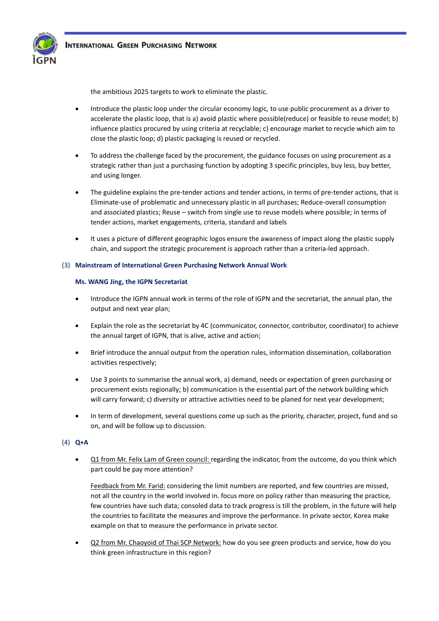

the ambitious 2025 targets to work to eliminate the plastic.

- Introduce the plastic loop under the circular economy logic, to use public procurement as a driver to accelerate the plastic loop, that is a) avoid plastic where possible(reduce) or feasible to reuse model; b) influence plastics procured by using criteria at recyclable; c) encourage market to recycle which aim to close the plastic loop; d) plastic packaging is reused or recycled.
- To address the challenge faced by the procurement, the guidance focuses on using procurement as a strategic rather than just a purchasing function by adopting 3 specific principles, buy less, buy better, and using longer.
- The guideline explains the pre-tender actions and tender actions, in terms of pre-tender actions, that is Eliminate-use of problematic and unnecessary plastic in all purchases; Reduce-overall consumption and associated plastics; Reuse – switch from single use to reuse models where possible; in terms of tender actions, market engagements, criteria, standard and labels
- It uses a picture of different geographic logos ensure the awareness of impact along the plastic supply chain, and support the strategic procurement is approach rather than a criteria-led approach.

#### (3) **Mainstream of International Green Purchasing Network Annual Work**

#### **Ms. WANG Jing, the IGPN Secretariat**

- Introduce the IGPN annual work in terms of the role of IGPN and the secretariat, the annual plan, the output and next year plan;
- Explain the role as the secretariat by 4C (communicator, connector, contributor, coordinator) to achieve the annual target of IGPN, that is alive, active and action;
- Brief introduce the annual output from the operation rules, information dissemination, collaboration activities respectively;
- Use 3 points to summarise the annual work, a) demand, needs or expectation of green purchasing or procurement exists regionally; b) communication is the essential part of the network building which will carry forward; c) diversity or attractive activities need to be planed for next year development;
- In term of development, several questions come up such as the priority, character, project, fund and so on, and will be follow up to discussion.

### (4) **Q+A**

• Q1 from Mr. Felix Lam of Green council: regarding the indicator, from the outcome, do you think which part could be pay more attention?

Feedback from Mr. Farid: considering the limit numbers are reported, and few countries are missed, not all the country in the world involved in. focus more on policy rather than measuring the practice, few countries have such data; consoled data to track progress is till the problem, in the future will help the countries to facilitate the measures and improve the performance. In private sector, Korea make example on that to measure the performance in private sector.

• Q2 from Mr. Chaoyoid of Thai SCP Network: how do you see green products and service, how do you think green infrastructure in this region?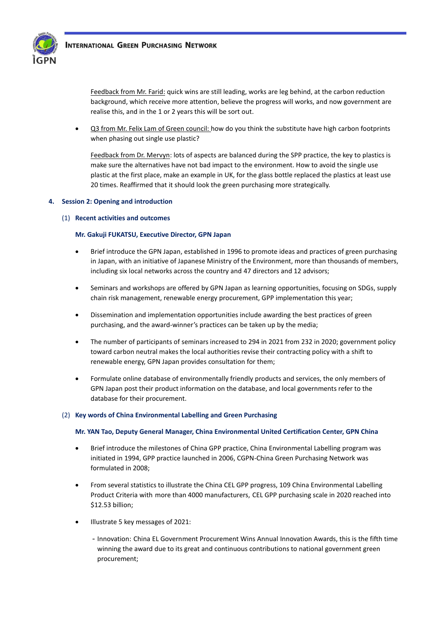

Feedback from Mr. Farid: quick wins are still leading, works are leg behind, at the carbon reduction background, which receive more attention, believe the progress will works, and now government are realise this, and in the 1 or 2 years this will be sort out.

• Q3 from Mr. Felix Lam of Green council: how do you think the substitute have high carbon footprints when phasing out single use plastic?

Feedback from Dr. Mervyn: lots of aspects are balanced during the SPP practice, the key to plastics is make sure the alternatives have not bad impact to the environment. How to avoid the single use plastic at the first place, make an example in UK, for the glass bottle replaced the plastics at least use 20 times. Reaffirmed that it should look the green purchasing more strategically.

# **4. Session 2: Opening and introduction**

(1) **Recent activities and outcomes** 

### **Mr. Gakuji FUKATSU, Executive Director, GPN Japan**

- Brief introduce the GPN Japan, established in 1996 to promote ideas and practices of green purchasing in Japan, with an initiative of Japanese Ministry of the Environment, more than thousands of members, including six local networks across the country and 47 directors and 12 advisors;
- Seminars and workshops are offered by GPN Japan as learning opportunities, focusing on SDGs, supply chain risk management, renewable energy procurement, GPP implementation this year;
- Dissemination and implementation opportunities include awarding the best practices of green purchasing, and the award-winner's practices can be taken up by the media;
- The number of participants of seminars increased to 294 in 2021 from 232 in 2020; government policy toward carbon neutral makes the local authorities revise their contracting policy with a shift to renewable energy, GPN Japan provides consultation for them;
- Formulate online database of environmentally friendly products and services, the only members of GPN Japan post their product information on the database, and local governments refer to the database for their procurement.

### (2) **Key words of China Environmental Labelling and Green Purchasing**

### **Mr. YAN Tao, Deputy General Manager, China Environmental United Certification Center, GPN China**

- Brief introduce the milestones of China GPP practice, China Environmental Labelling program was initiated in 1994, GPP practice launched in 2006, CGPN-China Green Purchasing Network was formulated in 2008;
- From several statistics to illustrate the China CEL GPP progress, 109 China Environmental Labelling Product Criteria with more than 4000 manufacturers, CEL GPP purchasing scale in 2020 reached into \$12.53 billion;
- Illustrate 5 key messages of 2021:
	- Innovation: China EL Government Procurement Wins Annual Innovation Awards, this is the fifth time winning the award due to its great and continuous contributions to national government green procurement;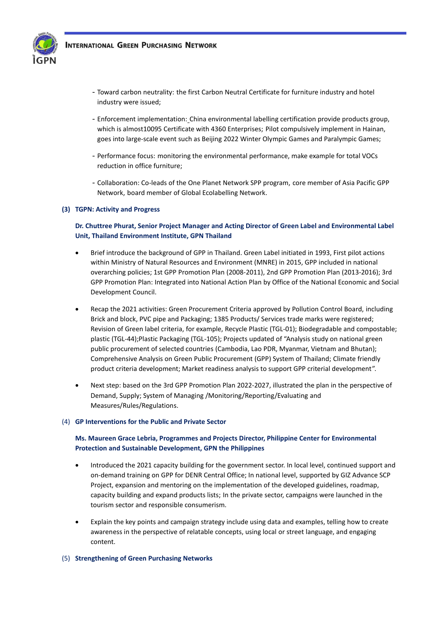

- Toward carbon neutrality: the first Carbon Neutral Certificate for furniture industry and hotel industry were issued;
- Enforcement implementation: China environmental labelling certification provide products group, which is almost10095 Certificate with 4360 Enterprises; Pilot compulsively implement in Hainan, goes into large-scale event such as Beijing 2022 Winter Olympic Games and Paralympic Games;
- Performance focus: monitoring the environmental performance, make example for total VOCs reduction in office furniture;
- Collaboration: Co-leads of the One Planet Network SPP program, core member of Asia Pacific GPP Network, board member of Global Ecolabelling Network.

### **(3) TGPN: Activity and Progress**

# **Dr. Chuttree Phurat, Senior Project Manager and Acting Director of Green Label and Environmental Label Unit, Thailand Environment Institute, GPN Thailand**

- Brief introduce the background of GPP in Thailand. Green Label initiated in 1993, First pilot actions within Ministry of Natural Resources and Environment (MNRE) in 2015, GPP included in national overarching policies; 1st GPP Promotion Plan (2008-2011), 2nd GPP Promotion Plan (2013-2016); 3rd GPP Promotion Plan: Integrated into National Action Plan by Office of the National Economic and Social Development Council.
- Recap the 2021 activities: Green Procurement Criteria approved by Pollution Control Board, including Brick and block, PVC pipe and Packaging; 1385 Products/ Services trade marks were registered; Revision of Green label criteria, for example, Recycle Plastic (TGL-01); Biodegradable and compostable; plastic (TGL-44);Plastic Packaging (TGL-105); Projects updated of "Analysis study on national green public procurement of selected countries (Cambodia, Lao PDR, Myanmar, Vietnam and Bhutan); Comprehensive Analysis on Green Public Procurement (GPP) System of Thailand; Climate friendly product criteria development; Market readiness analysis to support GPP criterial development".
- Next step: based on the 3rd GPP Promotion Plan 2022-2027, illustrated the plan in the perspective of Demand, Supply; System of Managing /Monitoring/Reporting/Evaluating and Measures/Rules/Regulations.

### (4) **GP Interventions for the Public and Private Sector**

# **Ms. Maureen Grace Lebria, Programmes and Projects Director, Philippine Center for Environmental Protection and Sustainable Development, GPN the Philippines**

- Introduced the 2021 capacity building for the government sector. In local level, continued support and on-demand training on GPP for DENR Central Office; In national level, supported by GIZ Advance SCP Project, expansion and mentoring on the implementation of the developed guidelines, roadmap, capacity building and expand products lists; In the private sector, campaigns were launched in the tourism sector and responsible consumerism.
- Explain the key points and campaign strategy include using data and examples, telling how to create awareness in the perspective of relatable concepts, using local or street language, and engaging content.

### (5) **Strengthening of Green Purchasing Networks**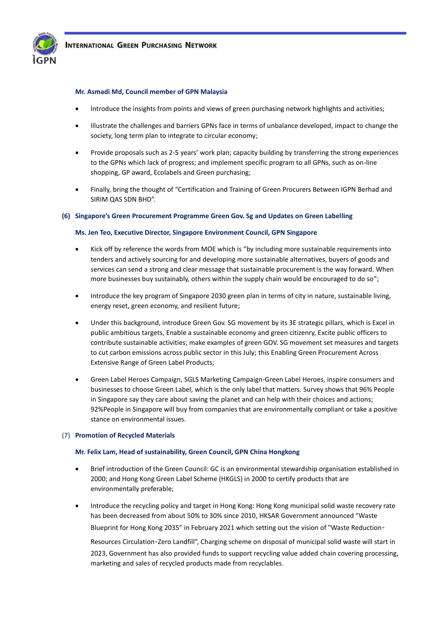

#### **Mr. Asmadi Md, Council member of GPN Malaysia**

- Introduce the insights from points and views of green purchasing network highlights and activities;
- Illustrate the challenges and barriers GPNs face in terms of unbalance developed, impact to change the society, long term plan to integrate to circular economy;
- Provide proposals such as 2-5 years' work plan; capacity building by transferring the strong experiences to the GPNs which lack of progress; and implement specific program to all GPNs, such as on-line shopping, GP award, Ecolabels and Green purchasing;
- Finally, bring the thought of "Certification and Training of Green Procurers Between IGPN Berhad and SIRIM QAS SDN BHD".

#### **(6) Singapore's Green Procurement Programme Green Gov. Sg and Updates on Green Labelling**

#### **Ms. Jen Teo, Executive Director, Singapore Environment Council, GPN Singapore**

- Kick off by reference the words from MOE which is "by including more sustainable requirements into tenders and actively sourcing for and developing more sustainable alternatives, buyers of goods and services can send a strong and clear message that sustainable procurement is the way forward. When more businesses buy sustainably, others within the supply chain would be encouraged to do so";
- Introduce the key program of Singapore 2030 green plan in terms of city in nature, sustainable living, energy reset, green economy, and resilient future;
- Under this background, introduce Green Gov. SG movement by its 3E strategic pillars, which is Excel in public ambitious targets, Enable a sustainable economy and green citizenry, Excite public officers to contribute sustainable activities; make examples of green GOV. SG movement set measures and targets to cut carbon emissions across public sector in this July; this Enabling Green Procurement Across Extensive Range of Green Label Products;
- Green Label Heroes Campaign, SGLS Marketing Campaign-Green Label Heroes, inspire consumers and businesses to choose Green Label, which is the only label that matters. Survey shows that 96% People in Singapore say they care about saving the planet and can help with their choices and actions; 92%People in Singapore will buy from companies that are environmentally compliant or take a positive stance on environmental issues.

#### (7) **Promotion of Recycled Materials**

#### **Mr. Felix Lam, Head of sustainability, Green Council, GPN China Hongkong**

- Brief introduction of the Green Council: GC is an environmental stewardship organisation established in 2000; and Hong Kong Green Label Scheme (HKGLS) in 2000 to certify products that are environmentally preferable;
- Introduce the recycling policy and target in Hong Kong: Hong Kong municipal solid waste recovery rate has been decreased from about 50% to 30% since 2010, HKSAR Government announced "Waste Blueprint for Hong Kong 2035" in February 2021 which setting out the vision of "Waste Reduction-

Resources Circulation-Zero Landfill", Charging scheme on disposal of municipal solid waste will start in 2023, Government has also provided funds to support recycling value added chain covering processing, marketing and sales of recycled products made from recyclables.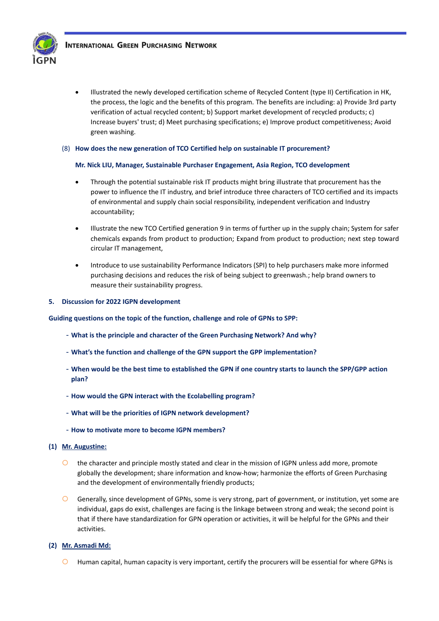

• Illustrated the newly developed certification scheme of Recycled Content (type II) Certification in HK, the process, the logic and the benefits of this program. The benefits are including: a) Provide 3rd party verification of actual recycled content; b) Support market development of recycled products; c) Increase buyers' trust; d) Meet purchasing specifications; e) Improve product competitiveness; Avoid green washing.

#### (8) **How does the new generation of TCO Certified help on sustainable IT procurement?**

#### **Mr. Nick LIU, Manager, Sustainable Purchaser Engagement, Asia Region, TCO development**

- Through the potential sustainable risk IT products might bring illustrate that procurement has the power to influence the IT industry, and brief introduce three characters of TCO certified and its impacts of environmental and supply chain social responsibility, independent verification and Industry accountability;
- Illustrate the new TCO Certified generation 9 in terms of further up in the supply chain; System for safer chemicals expands from product to production; Expand from product to production; next step toward circular IT management,
- Introduce to use sustainability Performance Indicators (SPI) to help purchasers make more informed purchasing decisions and reduces the risk of being subject to greenwash.; help brand owners to measure their sustainability progress.

#### **5. Discussion for 2022 IGPN development**

**Guiding questions on the topic of the function, challenge and role of GPNs to SPP:**

- **What is the principle and character of the Green Purchasing Network? And why?**
- **What's the function and challenge of the GPN support the GPP implementation?**
- **When would be the best time to established the GPN if one country starts to launch the SPP/GPP action plan?**
- **How would the GPN interact with the Ecolabelling program?**
- **What will be the priorities of IGPN network development?**
- **How to motivate more to become IGPN members?**

#### **(1) Mr. Augustine:**

- the character and principle mostly stated and clear in the mission of IGPN unless add more, promote globally the development; share information and know-how; harmonize the efforts of Green Purchasing and the development of environmentally friendly products;
- Generally, since development of GPNs, some is very strong, part of government, or institution, yet some are individual, gaps do exist, challenges are facing is the linkage between strong and weak; the second point is that if there have standardization for GPN operation or activities, it will be helpful for the GPNs and their activities.

#### **(2) Mr. Asmadi Md:**

 $\bigcirc$  Human capital, human capacity is very important, certify the procurers will be essential for where GPNs is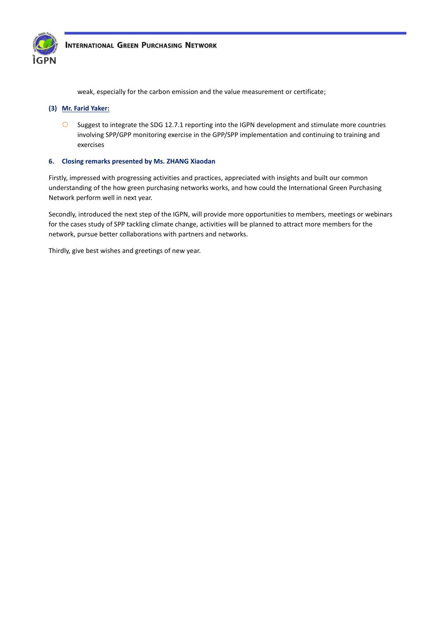

weak, especially for the carbon emission and the value measurement or certificate;

#### **(3) Mr. Farid Yaker:**

 Suggest to integrate the SDG 12.7.1 reporting into the IGPN development and stimulate more countries involving SPP/GPP monitoring exercise in the GPP/SPP implementation and continuing to training and exercises

### **6. Closing remarks presented by Ms. ZHANG Xiaodan**

Firstly, impressed with progressing activities and practices, appreciated with insights and built our common understanding of the how green purchasing networks works, and how could the International Green Purchasing Network perform well in next year.

Secondly, introduced the next step of the IGPN, will provide more opportunities to members, meetings or webinars for the cases study of SPP tackling climate change, activities will be planned to attract more members for the network, pursue better collaborations with partners and networks.

Thirdly, give best wishes and greetings of new year.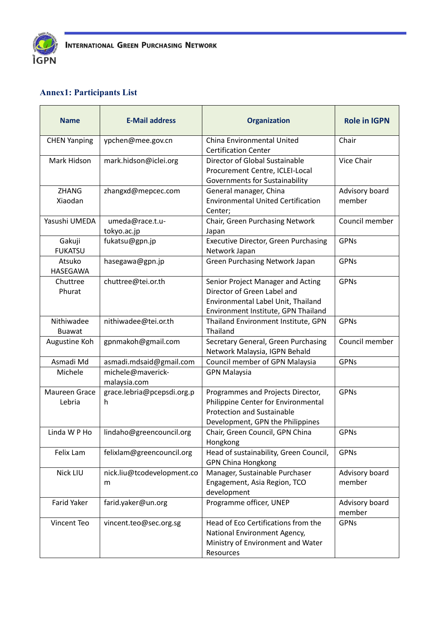

# **Annex1: Participants List**

| <b>Name</b>                 | <b>E-Mail address</b>             | <b>Organization</b>                                                                                                                               | <b>Role in IGPN</b>      |
|-----------------------------|-----------------------------------|---------------------------------------------------------------------------------------------------------------------------------------------------|--------------------------|
| <b>CHEN Yanping</b>         | ypchen@mee.gov.cn                 | China Environmental United<br><b>Certification Center</b>                                                                                         | Chair                    |
| Mark Hidson                 | mark.hidson@iclei.org             | Director of Global Sustainable<br>Procurement Centre, ICLEI-Local<br>Governments for Sustainability                                               | Vice Chair               |
| <b>ZHANG</b><br>Xiaodan     | zhangxd@mepcec.com                | General manager, China<br><b>Environmental United Certification</b><br>Center;                                                                    | Advisory board<br>member |
| Yasushi UMEDA               | umeda@race.t.u-<br>tokyo.ac.jp    | Chair, Green Purchasing Network<br>Japan                                                                                                          | Council member           |
| Gakuji<br><b>FUKATSU</b>    | fukatsu@gpn.jp                    | <b>Executive Director, Green Purchasing</b><br>Network Japan                                                                                      | <b>GPNs</b>              |
| Atsuko<br>HASEGAWA          | hasegawa@gpn.jp                   | <b>Green Purchasing Network Japan</b>                                                                                                             | <b>GPNs</b>              |
| Chuttree<br>Phurat          | chuttree@tei.or.th                | Senior Project Manager and Acting<br>Director of Green Label and<br>Environmental Label Unit, Thailand<br>Environment Institute, GPN Thailand     | <b>GPNs</b>              |
| Nithiwadee<br><b>Buawat</b> | nithiwadee@tei.or.th              | Thailand Environment Institute, GPN<br>Thailand                                                                                                   | <b>GPNs</b>              |
| Augustine Koh               | gpnmakoh@gmail.com                | Secretary General, Green Purchasing<br>Network Malaysia, IGPN Behald                                                                              | Council member           |
| Asmadi Md                   | asmadi.mdsaid@gmail.com           | Council member of GPN Malaysia                                                                                                                    | <b>GPNs</b>              |
| Michele                     | michele@maverick-<br>malaysia.com | <b>GPN Malaysia</b>                                                                                                                               |                          |
| Maureen Grace<br>Lebria     | grace.lebria@pcepsdi.org.p<br>h   | Programmes and Projects Director,<br>Philippine Center for Environmental<br><b>Protection and Sustainable</b><br>Development, GPN the Philippines | <b>GPNs</b>              |
| Linda W P Ho                | lindaho@greencouncil.org          | Chair, Green Council, GPN China<br>Hongkong                                                                                                       | <b>GPNs</b>              |
| Felix Lam                   | felixlam@greencouncil.org         | Head of sustainability, Green Council,<br><b>GPN China Hongkong</b>                                                                               | <b>GPNs</b>              |
| Nick LIU                    | nick.liu@tcodevelopment.co<br>m   | Manager, Sustainable Purchaser<br>Engagement, Asia Region, TCO<br>development                                                                     | Advisory board<br>member |
| <b>Farid Yaker</b>          | farid.yaker@un.org                | Programme officer, UNEP                                                                                                                           | Advisory board<br>member |
| Vincent Teo                 | vincent.teo@sec.org.sg            | Head of Eco Certifications from the<br>National Environment Agency,<br>Ministry of Environment and Water<br>Resources                             | <b>GPNs</b>              |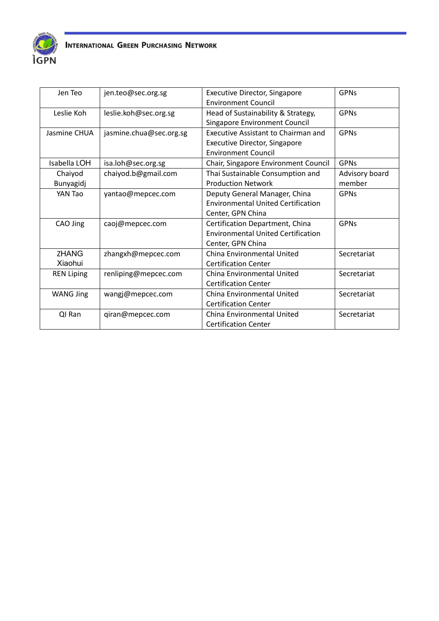

| Jen Teo           | jen.teo@sec.org.sg      | <b>Executive Director, Singapore</b>       | <b>GPNs</b>    |
|-------------------|-------------------------|--------------------------------------------|----------------|
|                   |                         | <b>Environment Council</b>                 |                |
| Leslie Koh        | leslie.koh@sec.org.sg   | Head of Sustainability & Strategy,         | <b>GPNs</b>    |
|                   |                         | Singapore Environment Council              |                |
| Jasmine CHUA      | jasmine.chua@sec.org.sg | <b>Executive Assistant to Chairman and</b> | <b>GPNs</b>    |
|                   |                         | <b>Executive Director, Singapore</b>       |                |
|                   |                         | <b>Environment Council</b>                 |                |
| Isabella LOH      | isa.loh@sec.org.sg      | Chair, Singapore Environment Council       | <b>GPNs</b>    |
| Chaiyod           | chaiyod.b@gmail.com     | Thai Sustainable Consumption and           | Advisory board |
| Bunyagidj         |                         | <b>Production Network</b>                  | member         |
| YAN Tao           | yantao@mepcec.com       | Deputy General Manager, China              | <b>GPNs</b>    |
|                   |                         | <b>Environmental United Certification</b>  |                |
|                   |                         | Center, GPN China                          |                |
| CAO Jing          | caoj@mepcec.com         | Certification Department, China            | <b>GPNs</b>    |
|                   |                         | <b>Environmental United Certification</b>  |                |
|                   |                         | Center, GPN China                          |                |
| <b>ZHANG</b>      | zhangxh@mepcec.com      | China Environmental United                 | Secretariat    |
| Xiaohui           |                         | <b>Certification Center</b>                |                |
| <b>REN Liping</b> | renliping@mepcec.com    | China Environmental United                 | Secretariat    |
|                   |                         | <b>Certification Center</b>                |                |
| <b>WANG Jing</b>  | wangj@mepcec.com        | China Environmental United                 | Secretariat    |
|                   |                         | <b>Certification Center</b>                |                |
| QI Ran            | qiran@mepcec.com        | China Environmental United                 | Secretariat    |
|                   |                         | <b>Certification Center</b>                |                |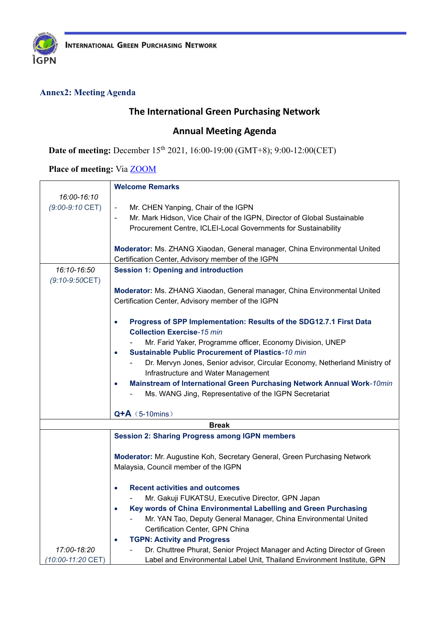

# **Annex2: Meeting Agenda**

# **The International Green Purchasing Network**

# **Annual Meeting Agenda**

**Date of meeting:** December 15<sup>th</sup> 2021, 16:00-19:00 (GMT+8); 9:00-12:00(CET)

Place of meeting: Via **ZOOM** 

|                   | <b>Welcome Remarks</b>                                                                                                |  |  |  |
|-------------------|-----------------------------------------------------------------------------------------------------------------------|--|--|--|
| 16:00-16:10       |                                                                                                                       |  |  |  |
| $(9:00-9:10$ CET) | Mr. CHEN Yanping, Chair of the IGPN                                                                                   |  |  |  |
|                   | Mr. Mark Hidson, Vice Chair of the IGPN, Director of Global Sustainable                                               |  |  |  |
|                   | Procurement Centre, ICLEI-Local Governments for Sustainability                                                        |  |  |  |
|                   |                                                                                                                       |  |  |  |
|                   | Moderator: Ms. ZHANG Xiaodan, General manager, China Environmental United                                             |  |  |  |
|                   | Certification Center, Advisory member of the IGPN                                                                     |  |  |  |
| 16:10-16:50       | <b>Session 1: Opening and introduction</b>                                                                            |  |  |  |
| $(9:10-9:50CET)$  |                                                                                                                       |  |  |  |
|                   | Moderator: Ms. ZHANG Xiaodan, General manager, China Environmental United                                             |  |  |  |
|                   | Certification Center, Advisory member of the IGPN                                                                     |  |  |  |
|                   |                                                                                                                       |  |  |  |
|                   | Progress of SPP Implementation: Results of the SDG12.7.1 First Data<br>$\bullet$<br><b>Collection Exercise-15 min</b> |  |  |  |
|                   | Mr. Farid Yaker, Programme officer, Economy Division, UNEP                                                            |  |  |  |
|                   | <b>Sustainable Public Procurement of Plastics-10 min</b><br>$\bullet$                                                 |  |  |  |
|                   | Dr. Mervyn Jones, Senior advisor, Circular Economy, Netherland Ministry of                                            |  |  |  |
|                   | Infrastructure and Water Management                                                                                   |  |  |  |
|                   | Mainstream of International Green Purchasing Network Annual Work-10min                                                |  |  |  |
|                   | Ms. WANG Jing, Representative of the IGPN Secretariat                                                                 |  |  |  |
|                   |                                                                                                                       |  |  |  |
| $Q+A$ (5-10mins)  |                                                                                                                       |  |  |  |
| <b>Break</b>      |                                                                                                                       |  |  |  |
|                   | <b>Session 2: Sharing Progress among IGPN members</b>                                                                 |  |  |  |
|                   | Moderator: Mr. Augustine Koh, Secretary General, Green Purchasing Network                                             |  |  |  |
|                   | Malaysia, Council member of the IGPN                                                                                  |  |  |  |
|                   |                                                                                                                       |  |  |  |
|                   | <b>Recent activities and outcomes</b>                                                                                 |  |  |  |
|                   | Mr. Gakuji FUKATSU, Executive Director, GPN Japan                                                                     |  |  |  |
|                   | Key words of China Environmental Labelling and Green Purchasing                                                       |  |  |  |
|                   | Mr. YAN Tao, Deputy General Manager, China Environmental United                                                       |  |  |  |
|                   | Certification Center, GPN China                                                                                       |  |  |  |
|                   | <b>TGPN: Activity and Progress</b>                                                                                    |  |  |  |
| 17:00-18:20       | Dr. Chuttree Phurat, Senior Project Manager and Acting Director of Green                                              |  |  |  |
| (10:00-11:20 CET) | Label and Environmental Label Unit, Thailand Environment Institute, GPN                                               |  |  |  |